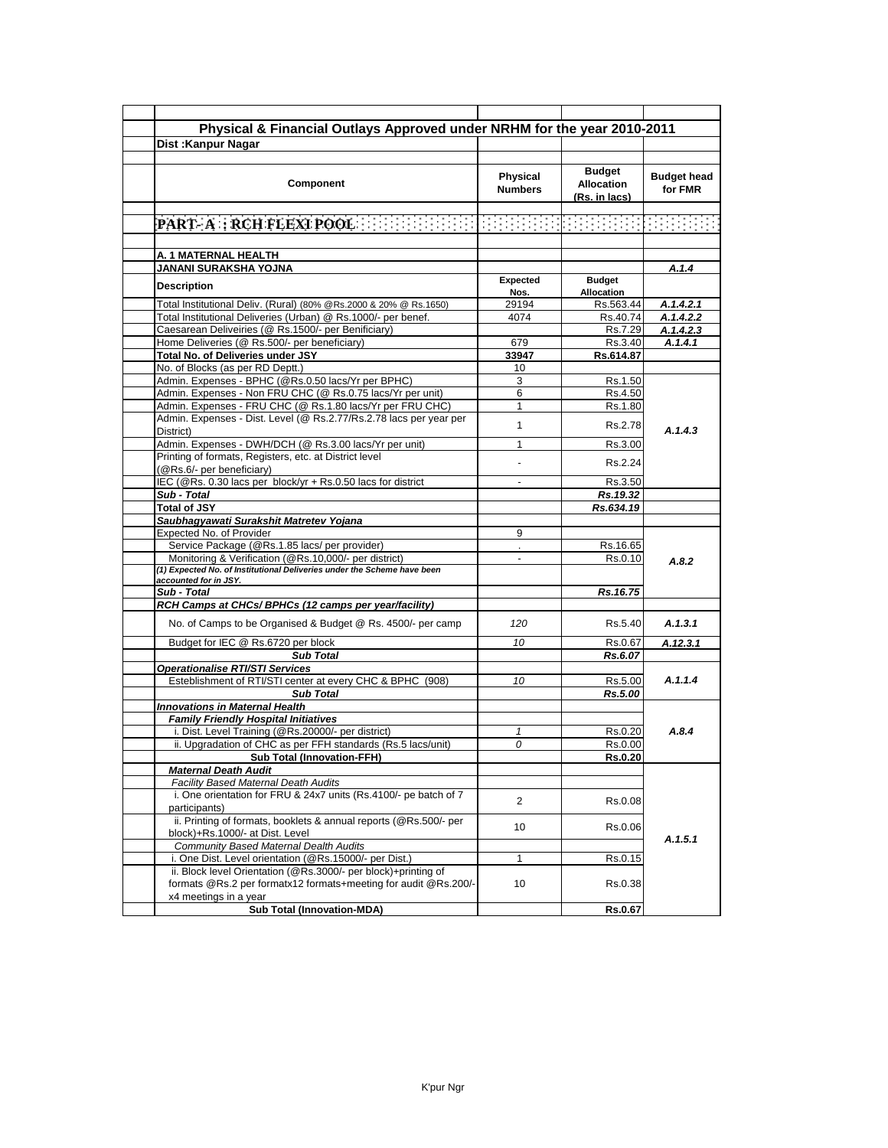| Physical & Financial Outlays Approved under NRHM for the year 2010-2011                                                                                                                                                                                  |                            |                                              |                               |
|----------------------------------------------------------------------------------------------------------------------------------------------------------------------------------------------------------------------------------------------------------|----------------------------|----------------------------------------------|-------------------------------|
| <b>Dist: Kanpur Nagar</b>                                                                                                                                                                                                                                |                            |                                              |                               |
|                                                                                                                                                                                                                                                          |                            |                                              |                               |
| Component                                                                                                                                                                                                                                                | Physical<br><b>Numbers</b> | Budget<br><b>Allocation</b><br>(Rs. in lacs) | <b>Budget head</b><br>for FMR |
|                                                                                                                                                                                                                                                          |                            |                                              |                               |
| $\left[\text{PART-}\text{A} \right]$ : $\text{RCH RLEXI POOL}$ . The set of the set of the set of the set of the set of the set of the set of the set of the set of the set of the set of the set of the set of the set of the set of the set of the set |                            |                                              |                               |
| A. 1 MATERNAL HEALTH                                                                                                                                                                                                                                     |                            |                                              |                               |
| JANANI SURAKSHA YOJNA                                                                                                                                                                                                                                    |                            |                                              | A.1.4                         |
| <b>Description</b>                                                                                                                                                                                                                                       | Expected<br>Nos.           | <b>Budget</b><br><b>Allocation</b>           |                               |
| Total Institutional Deliv. (Rural) (80% @Rs.2000 & 20% @ Rs.1650)                                                                                                                                                                                        | 29194                      | Rs.563.44                                    | A.1.4.2.1                     |
| Total Institutional Deliveries (Urban) @ Rs.1000/- per benef.                                                                                                                                                                                            | 4074                       | Rs.40.74                                     | A.1.4.2.2                     |
| Caesarean Deliveiries (@ Rs.1500/- per Benificiary)                                                                                                                                                                                                      |                            | Rs.7.29                                      | A.1.4.2.3                     |
| Home Deliveries (@ Rs.500/- per beneficiary)                                                                                                                                                                                                             | 679                        | Rs.3.40                                      | A.1.4.1                       |
| Total No. of Deliveries under JSY                                                                                                                                                                                                                        | 33947                      | Rs.614.87                                    |                               |
| No. of Blocks (as per RD Deptt.)                                                                                                                                                                                                                         | 10                         |                                              |                               |
| Admin. Expenses - BPHC (@Rs.0.50 lacs/Yr per BPHC)                                                                                                                                                                                                       | 3                          | Rs.1.50                                      |                               |
| Admin. Expenses - Non FRU CHC (@ Rs.0.75 lacs/Yr per unit)                                                                                                                                                                                               | 6                          | Rs.4.50                                      |                               |
| Admin. Expenses - FRU CHC (@ Rs.1.80 lacs/Yr per FRU CHC)                                                                                                                                                                                                | $\mathbf{1}$               | Rs.1.80                                      |                               |
| Admin. Expenses - Dist. Level (@ Rs.2.77/Rs.2.78 lacs per year per<br>District)                                                                                                                                                                          | 1                          | Rs.2.78                                      | A.1.4.3                       |
| Admin. Expenses - DWH/DCH (@ Rs.3.00 lacs/Yr per unit)                                                                                                                                                                                                   | 1                          | Rs.3.00                                      |                               |
| Printing of formats, Registers, etc. at District level<br>(@Rs.6/- per beneficiary)                                                                                                                                                                      |                            | Rs.2.24                                      |                               |
| IEC (@Rs. 0.30 lacs per block/yr + Rs.0.50 lacs for district                                                                                                                                                                                             | $\blacksquare$             | Rs.3.50                                      |                               |
| Sub - Total                                                                                                                                                                                                                                              |                            | Rs.19.32                                     |                               |
| <b>Total of JSY</b>                                                                                                                                                                                                                                      |                            | Rs.634.19                                    |                               |
| Saubhagyawati Surakshit Matretev Yojana                                                                                                                                                                                                                  |                            |                                              |                               |
| Expected No. of Provider                                                                                                                                                                                                                                 | 9                          |                                              |                               |
| Service Package (@Rs.1.85 lacs/ per provider)                                                                                                                                                                                                            |                            | Rs.16.65                                     |                               |
| Monitoring & Verification (@Rs.10,000/- per district)                                                                                                                                                                                                    | $\blacksquare$             | Rs.0.10                                      |                               |
| (1) Expected No. of Institutional Deliveries under the Scheme have been                                                                                                                                                                                  |                            |                                              | A.8.2                         |
| accounted for in JSY.                                                                                                                                                                                                                                    |                            |                                              |                               |
| Sub - Total                                                                                                                                                                                                                                              |                            | Rs.16.75                                     |                               |
| RCH Camps at CHCs/ BPHCs (12 camps per year/facility)                                                                                                                                                                                                    |                            |                                              |                               |
| No. of Camps to be Organised & Budget @ Rs. 4500/- per camp                                                                                                                                                                                              | 120                        | Rs.5.40                                      | A.1.3.1                       |
| Budget for IEC @ Rs.6720 per block                                                                                                                                                                                                                       | 10                         | Rs.0.67                                      | A.12.3.1                      |
| <b>Sub Total</b>                                                                                                                                                                                                                                         |                            | Rs.6.07                                      |                               |
| <b>Operationalise RTI/STI Services</b>                                                                                                                                                                                                                   |                            |                                              |                               |
| Esteblishment of RTI/STI center at every CHC & BPHC (908)                                                                                                                                                                                                | 10                         | Rs.5.00                                      | A.1.1.4                       |
| <b>Sub Total</b>                                                                                                                                                                                                                                         |                            | Rs.5.00                                      |                               |
| <b>Innovations in Maternal Health</b>                                                                                                                                                                                                                    |                            |                                              |                               |
| <b>Family Friendly Hospital Initiatives</b>                                                                                                                                                                                                              |                            |                                              |                               |
| i. Dist. Level Training (@Rs.20000/- per district)                                                                                                                                                                                                       | 1                          | Rs.0.20                                      | A.8.4                         |
| ii. Upgradation of CHC as per FFH standards (Rs.5 lacs/unit)                                                                                                                                                                                             | 0                          | Rs 0.00                                      |                               |
| Sub Total (Innovation-FFH)                                                                                                                                                                                                                               |                            | Rs.0.20                                      |                               |
| <b>Maternal Death Audit</b>                                                                                                                                                                                                                              |                            |                                              |                               |
| <b>Facility Based Maternal Death Audits</b>                                                                                                                                                                                                              |                            |                                              |                               |
| i. One orientation for FRU & 24x7 units (Rs.4100/- pe batch of 7<br>participants)                                                                                                                                                                        | $\overline{2}$             | Rs.0.08                                      |                               |
| ii. Printing of formats, booklets & annual reports (@Rs.500/- per<br>block)+Rs.1000/- at Dist. Level                                                                                                                                                     | 10                         | Rs.0.06                                      |                               |
| <b>Community Based Maternal Dealth Audits</b>                                                                                                                                                                                                            |                            |                                              | A.1.5.1                       |
| i. One Dist. Level orientation (@Rs.15000/- per Dist.)                                                                                                                                                                                                   | 1                          | Rs.0.15                                      |                               |
| ii. Block level Orientation (@Rs.3000/- per block)+printing of<br>formats @Rs.2 per formatx12 formats+meeting for audit @Rs.200/-                                                                                                                        | 10                         | Rs.0.38                                      |                               |
| x4 meetings in a year                                                                                                                                                                                                                                    |                            |                                              |                               |
| <b>Sub Total (Innovation-MDA)</b>                                                                                                                                                                                                                        |                            | Rs.0.67                                      |                               |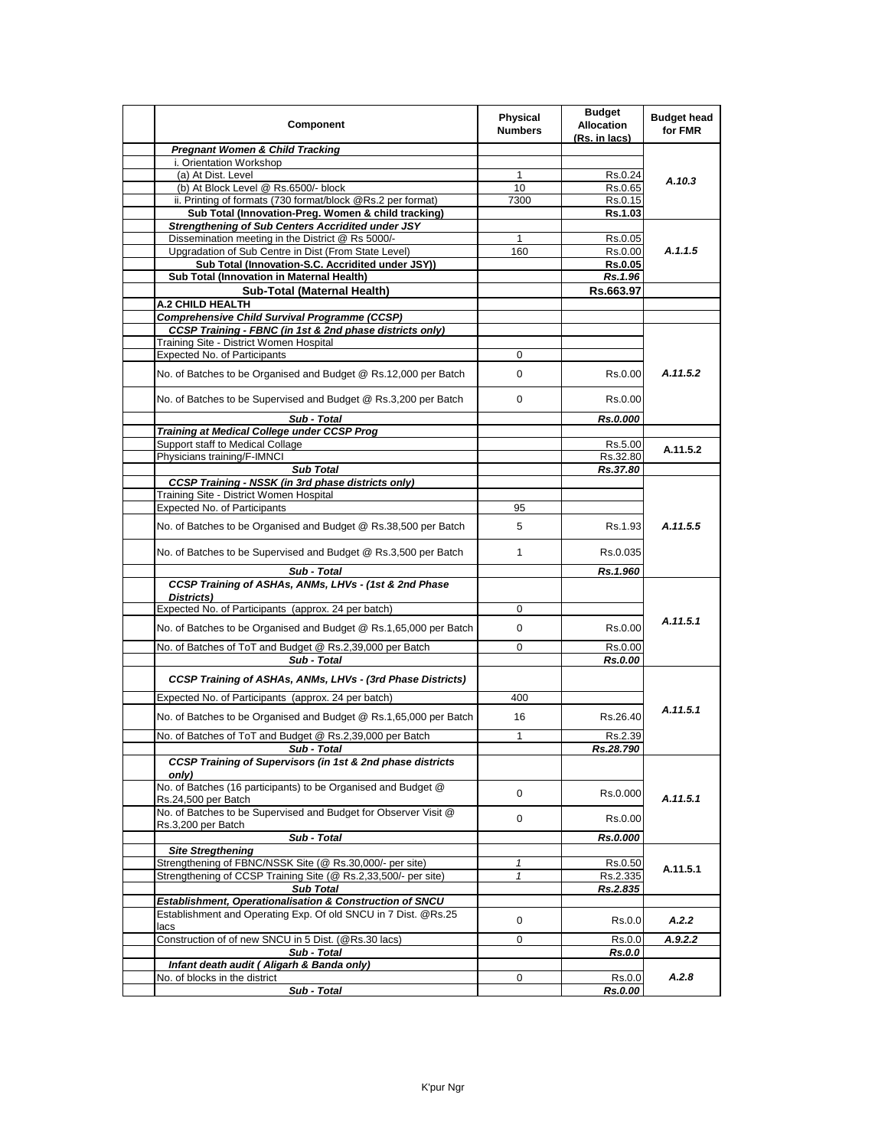| Component                                                                                                     | <b>Physical</b><br><b>Numbers</b> | <b>Budget</b><br><b>Allocation</b><br>(Rs. in lacs) | <b>Budget head</b><br>for FMR |
|---------------------------------------------------------------------------------------------------------------|-----------------------------------|-----------------------------------------------------|-------------------------------|
| <b>Pregnant Women &amp; Child Tracking</b>                                                                    |                                   |                                                     |                               |
| i. Orientation Workshop                                                                                       |                                   |                                                     |                               |
| (a) At Dist. Level                                                                                            | 1                                 | Rs.0.24                                             | A.10.3                        |
| (b) At Block Level @ Rs.6500/- block                                                                          | 10                                | Rs.0.65                                             |                               |
| ii. Printing of formats (730 format/block @Rs.2 per format)                                                   | 7300                              | Rs.0.15                                             |                               |
| Sub Total (Innovation-Preg. Women & child tracking)                                                           |                                   | Rs.1.03                                             |                               |
| <b>Strengthening of Sub Centers Accridited under JSY</b><br>Dissemination meeting in the District @ Rs 5000/- |                                   |                                                     |                               |
| Upgradation of Sub Centre in Dist (From State Level)                                                          | 1<br>160                          | Rs.0.05<br>Rs.0.00                                  | A.1.1.5                       |
| Sub Total (Innovation-S.C. Accridited under JSY))                                                             |                                   | Rs.0.05                                             |                               |
| Sub Total (Innovation in Maternal Health)                                                                     |                                   | Rs.1.96                                             |                               |
| Sub-Total (Maternal Health)                                                                                   |                                   | Rs.663.97                                           |                               |
| <b>A.2 CHILD HEALTH</b>                                                                                       |                                   |                                                     |                               |
| <b>Comprehensive Child Survival Programme (CCSP)</b>                                                          |                                   |                                                     |                               |
| <b>CCSP Training - FBNC (in 1st &amp; 2nd phase districts only)</b>                                           |                                   |                                                     |                               |
| Training Site - District Women Hospital                                                                       |                                   |                                                     |                               |
| Expected No. of Participants                                                                                  | 0                                 |                                                     |                               |
|                                                                                                               |                                   |                                                     |                               |
| No. of Batches to be Organised and Budget @ Rs.12,000 per Batch                                               | 0                                 | Rs.0.00                                             | A.11.5.2                      |
| No. of Batches to be Supervised and Budget @ Rs.3,200 per Batch                                               | 0                                 | Rs 0.00                                             |                               |
| Sub - Total                                                                                                   |                                   | Rs.0.000                                            |                               |
| <b>Training at Medical College under CCSP Prog</b>                                                            |                                   |                                                     |                               |
| Support staff to Medical Collage<br>Physicians training/F-IMNCI                                               |                                   | Rs.5.00<br>Rs.32.80                                 | A.11.5.2                      |
| <b>Sub Total</b>                                                                                              |                                   | Rs.37.80                                            |                               |
| <b>CCSP Training - NSSK (in 3rd phase districts only)</b>                                                     |                                   |                                                     |                               |
| Training Site - District Women Hospital                                                                       |                                   |                                                     |                               |
| Expected No. of Participants                                                                                  | 95                                |                                                     |                               |
| No. of Batches to be Organised and Budget @ Rs.38,500 per Batch                                               | 5                                 | Rs 1.93                                             | A.11.5.5                      |
| No. of Batches to be Supervised and Budget @ Rs.3,500 per Batch                                               | $\mathbf{1}$                      | Rs.0.035                                            |                               |
| Sub - Total                                                                                                   |                                   | Rs.1.960                                            |                               |
| CCSP Training of ASHAs, ANMs, LHVs - (1st & 2nd Phase                                                         |                                   |                                                     |                               |
| Districts)                                                                                                    |                                   |                                                     |                               |
| Expected No. of Participants (approx. 24 per batch)                                                           | 0                                 |                                                     |                               |
|                                                                                                               |                                   |                                                     | A.11.5.1                      |
| No. of Batches to be Organised and Budget @ Rs.1,65,000 per Batch                                             | 0                                 | Rs.0.00                                             |                               |
| No. of Batches of ToT and Budget @ Rs.2,39,000 per Batch                                                      | 0                                 | Rs.0.00                                             |                               |
| Sub - Total                                                                                                   |                                   | Rs.0.00                                             |                               |
| <b>CCSP Training of ASHAs, ANMs, LHVs - (3rd Phase Districts)</b>                                             |                                   |                                                     |                               |
| Expected No. of Participants (approx. 24 per batch)                                                           | 400                               |                                                     |                               |
| No. of Batches to be Organised and Budget @ Rs.1,65,000 per Batch                                             | 16                                | Rs.26.40                                            | A.11.5.1                      |
| No. of Batches of ToT and Budget @ Rs.2,39,000 per Batch                                                      | 1                                 | Rs.2.39                                             |                               |
| Sub - Total                                                                                                   |                                   | Rs.28.790                                           |                               |
| CCSP Training of Supervisors (in 1st & 2nd phase districts<br>only)                                           |                                   |                                                     |                               |
| No. of Batches (16 participants) to be Organised and Budget @<br>Rs.24,500 per Batch                          | 0                                 | Rs.0.000                                            | A.11.5.1                      |
| No. of Batches to be Supervised and Budget for Observer Visit @                                               | 0                                 | Rs.0.00                                             |                               |
| Rs.3,200 per Batch                                                                                            |                                   |                                                     |                               |
| Sub - Total<br><b>Site Stregthening</b>                                                                       |                                   | Rs.0.000                                            |                               |
| Strengthening of FBNC/NSSK Site (@ Rs.30,000/- per site)                                                      | $\mathbf{1}$                      | Rs.0.50                                             |                               |
| Strengthening of CCSP Training Site (@ Rs.2,33,500/- per site)                                                | $\mathbf{1}$                      | Rs.2.335                                            | A.11.5.1                      |
| <b>Sub Total</b>                                                                                              |                                   | Rs.2.835                                            |                               |
| Establishment, Operationalisation & Construction of SNCU                                                      |                                   |                                                     |                               |
| Establishment and Operating Exp. Of old SNCU in 7 Dist. @Rs.25                                                |                                   |                                                     |                               |
| lacs                                                                                                          | 0                                 | Rs.0.0                                              | A.2.2                         |
| Construction of of new SNCU in 5 Dist. (@Rs.30 lacs)                                                          | 0                                 | Rs.0.0                                              | A.9.2.2                       |
| Sub - Total                                                                                                   |                                   | Rs.0.0                                              |                               |
| Infant death audit ( Aligarh & Banda only)                                                                    |                                   |                                                     |                               |
| No. of blocks in the district                                                                                 | 0                                 | Rs.0.0                                              | A.2.8                         |
| Sub - Total                                                                                                   |                                   | Rs.0.00                                             |                               |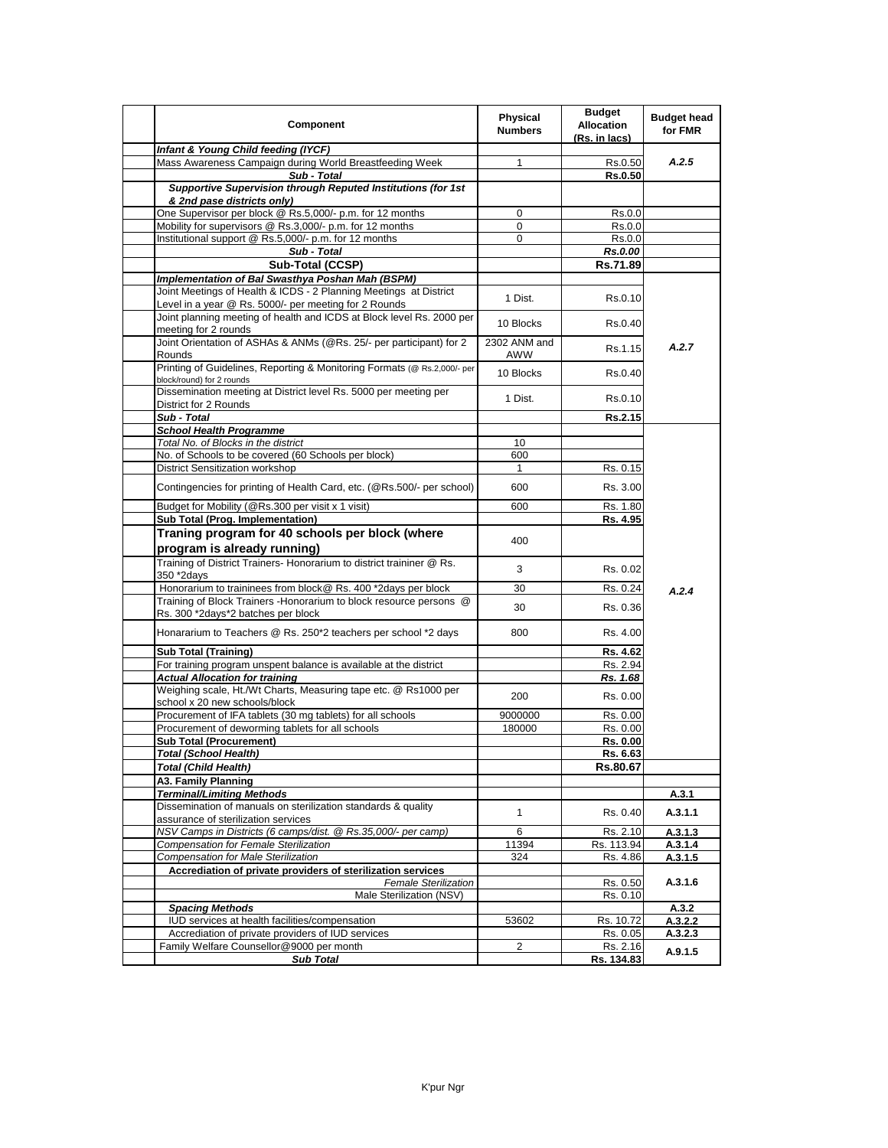| Component                                                                                                                  | <b>Physical</b><br><b>Numbers</b> | <b>Budget</b><br><b>Allocation</b><br>(Rs. in lacs) | <b>Budget head</b><br>for FMR |
|----------------------------------------------------------------------------------------------------------------------------|-----------------------------------|-----------------------------------------------------|-------------------------------|
| Infant & Young Child feeding (IYCF)                                                                                        |                                   |                                                     |                               |
| Mass Awareness Campaign during World Breastfeeding Week                                                                    | 1                                 | Rs.0.50                                             | A.2.5                         |
| Sub - Total                                                                                                                |                                   | Rs.0.50                                             |                               |
| Supportive Supervision through Reputed Institutions (for 1st<br>& 2nd pase districts only)                                 |                                   |                                                     |                               |
| One Supervisor per block @ Rs.5,000/- p.m. for 12 months                                                                   | 0                                 | Rs.0.0                                              |                               |
| Mobility for supervisors @ Rs.3,000/- p.m. for 12 months                                                                   | 0                                 | Rs.0.0                                              |                               |
| Institutional support @ Rs.5,000/- p.m. for 12 months                                                                      | 0                                 | Rs.0.0                                              |                               |
| Sub - Total                                                                                                                |                                   | Rs.0.00                                             |                               |
| Sub-Total (CCSP)                                                                                                           |                                   | Rs.71.89                                            |                               |
| Implementation of Bal Swasthya Poshan Mah (BSPM)                                                                           |                                   |                                                     |                               |
| Joint Meetings of Health & ICDS - 2 Planning Meetings at District<br>Level in a year @ Rs. 5000/- per meeting for 2 Rounds | 1 Dist.                           | Rs.0.10                                             |                               |
| Joint planning meeting of health and ICDS at Block level Rs. 2000 per<br>meeting for 2 rounds                              | 10 Blocks                         | Rs 0.40                                             |                               |
| Joint Orientation of ASHAs & ANMs (@Rs. 25/- per participant) for 2                                                        | 2302 ANM and                      | Rs 1.15                                             | A.2.7                         |
| Rounds<br>Printing of Guidelines, Reporting & Monitoring Formats (@ Rs.2,000/- per                                         | AWW<br>10 Blocks                  | Rs 0.40                                             |                               |
| block/round) for 2 rounds<br>Dissemination meeting at District level Rs. 5000 per meeting per                              | 1 Dist.                           | Rs 0.10                                             |                               |
| District for 2 Rounds                                                                                                      |                                   |                                                     |                               |
| Sub - Total                                                                                                                |                                   | Rs.2.15                                             |                               |
| <b>School Health Programme</b>                                                                                             |                                   |                                                     |                               |
| Total No. of Blocks in the district                                                                                        | 10                                |                                                     |                               |
| No. of Schools to be covered (60 Schools per block)                                                                        | 600                               |                                                     |                               |
| District Sensitization workshop                                                                                            | 1                                 | Rs. 0.15                                            |                               |
| Contingencies for printing of Health Card, etc. (@Rs.500/- per school)                                                     | 600                               | Rs. 3.00                                            |                               |
| Budget for Mobility (@Rs.300 per visit x 1 visit)                                                                          | 600                               | Rs. 1.80                                            |                               |
| Sub Total (Prog. Implementation)                                                                                           |                                   | Rs. 4.95                                            |                               |
| Traning program for 40 schools per block (where                                                                            | 400                               |                                                     |                               |
| program is already running)                                                                                                |                                   |                                                     |                               |
| Training of District Trainers- Honorarium to district traininer @ Rs.<br>350 *2days                                        | 3                                 | Rs. 0.02                                            |                               |
| Honorarium to traininees from block@ Rs. 400 *2days per block                                                              | 30                                | Rs. 0.24                                            | A.2.4                         |
| Training of Block Trainers - Honorarium to block resource persons @                                                        |                                   |                                                     |                               |
| Rs. 300 *2days*2 batches per block                                                                                         | 30                                | Rs. 0.36                                            |                               |
| Honararium to Teachers @ Rs. 250*2 teachers per school *2 days                                                             | 800                               | Rs. 4.00                                            |                               |
| <b>Sub Total (Training)</b>                                                                                                |                                   | Rs. 4.62                                            |                               |
| For training program unspent balance is available at the district                                                          |                                   | Rs. 2.94                                            |                               |
| <b>Actual Allocation for training</b><br>Weighing scale, Ht./Wt Charts, Measuring tape etc. @ Rs1000 per                   | 200                               | Rs. 1.68<br>Rs. 0.00                                |                               |
| school x 20 new schools/block                                                                                              |                                   |                                                     |                               |
| Procurement of IFA tablets (30 mg tablets) for all schools                                                                 | 9000000<br>180000                 | Rs. 0.00                                            |                               |
| Procurement of deworming tablets for all schools                                                                           |                                   | Rs. 0.00                                            |                               |
| <b>Sub Total (Procurement)</b><br><b>Total (School Health)</b>                                                             |                                   | Rs. 0.00<br>Rs. 6.63                                |                               |
|                                                                                                                            |                                   |                                                     |                               |
| <b>Total (Child Health)</b>                                                                                                |                                   | Rs.80.67                                            |                               |
| A3. Family Planning                                                                                                        |                                   |                                                     |                               |
| <b>Terminal/Limiting Methods</b><br>Dissemination of manuals on sterilization standards & quality                          |                                   |                                                     | A.3.1                         |
| assurance of sterilization services                                                                                        | 1                                 | Rs. 0.40                                            | A.3.1.1                       |
| NSV Camps in Districts (6 camps/dist. @ Rs.35,000/- per camp)                                                              | 6                                 | Rs. 2.10                                            | A.3.1.3                       |
| Compensation for Female Sterilization                                                                                      | 11394                             | Rs. 113.94                                          | A.3.1.4                       |
| <b>Compensation for Male Sterilization</b>                                                                                 | 324                               | Rs. 4.86                                            | A.3.1.5                       |
| Accrediation of private providers of sterilization services                                                                |                                   |                                                     |                               |
| <b>Female Sterilization</b>                                                                                                |                                   | Rs. 0.50                                            | A.3.1.6                       |
| Male Sterilization (NSV)                                                                                                   |                                   | Rs. 0.10                                            |                               |
| <b>Spacing Methods</b>                                                                                                     |                                   |                                                     | A.3.2                         |
| IUD services at health facilities/compensation                                                                             | 53602                             | Rs. 10.72                                           | A.3.2.2                       |
| Accrediation of private providers of IUD services                                                                          |                                   | Rs. 0.05                                            | A.3.2.3                       |
| Family Welfare Counsellor@9000 per month                                                                                   | 2                                 | Rs. 2.16                                            | A.9.1.5                       |
| <b>Sub Total</b>                                                                                                           |                                   | Rs. 134.83                                          |                               |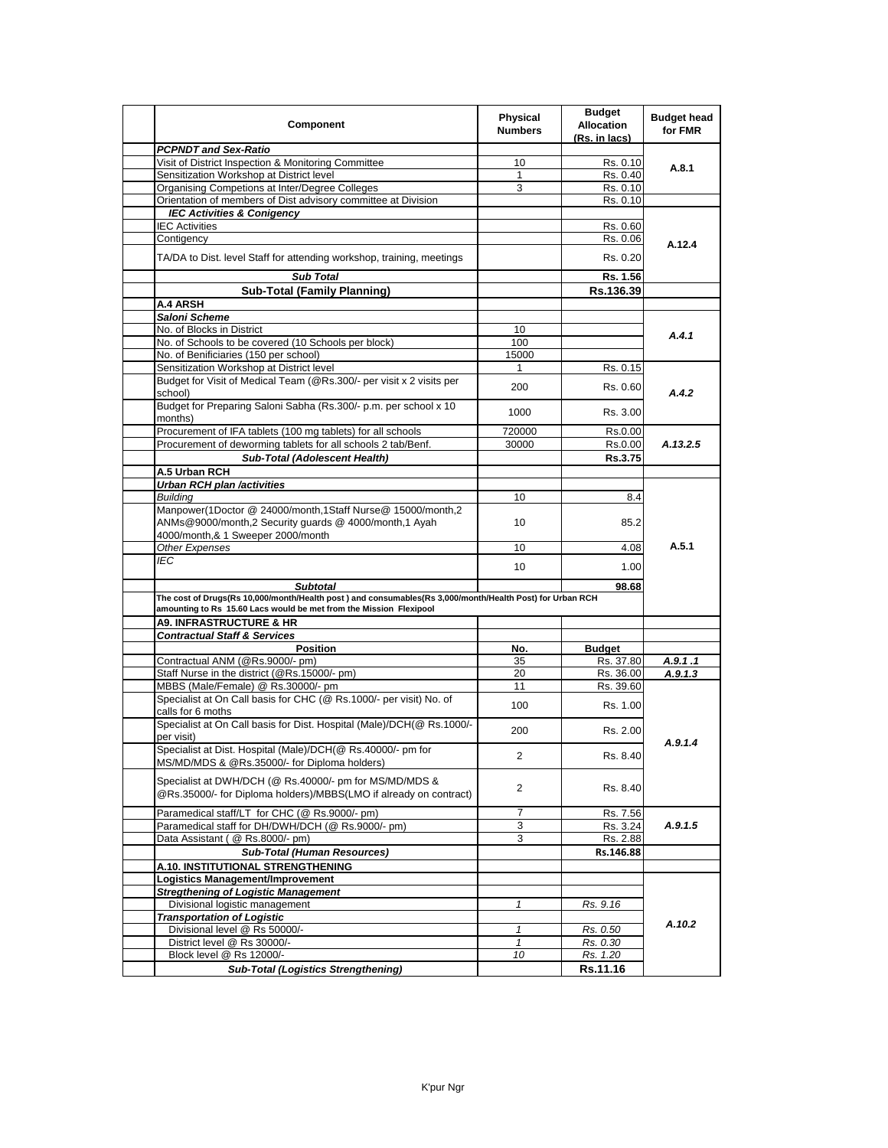| Component                                                                                                                                                                       | <b>Physical</b><br><b>Numbers</b> | <b>Budget</b><br><b>Allocation</b><br>(Rs. in lacs) | <b>Budget head</b><br>for FMR |
|---------------------------------------------------------------------------------------------------------------------------------------------------------------------------------|-----------------------------------|-----------------------------------------------------|-------------------------------|
| <b>PCPNDT and Sex-Ratio</b>                                                                                                                                                     |                                   |                                                     |                               |
| Visit of District Inspection & Monitoring Committee                                                                                                                             | 10                                | Rs. 0.10                                            | A.8.1                         |
| Sensitization Workshop at District level                                                                                                                                        | $\mathbf{1}$                      | Rs. 0.40                                            |                               |
| Organising Competions at Inter/Degree Colleges                                                                                                                                  | 3                                 | Rs. 0.10                                            |                               |
| Orientation of members of Dist advisory committee at Division                                                                                                                   |                                   | Rs. 0.10                                            |                               |
| <b>IEC Activities &amp; Conigency</b>                                                                                                                                           |                                   |                                                     |                               |
| <b>IEC Activities</b>                                                                                                                                                           |                                   | Rs. 0.60                                            |                               |
| Contigency                                                                                                                                                                      |                                   | Rs. 0.06                                            |                               |
| TA/DA to Dist. level Staff for attending workshop, training, meetings                                                                                                           |                                   | Rs. 0.20                                            | A.12.4                        |
| <b>Sub Total</b>                                                                                                                                                                |                                   | Rs. 1.56                                            |                               |
| <b>Sub-Total (Family Planning)</b>                                                                                                                                              |                                   | Rs.136.39                                           |                               |
| A.4 ARSH                                                                                                                                                                        |                                   |                                                     |                               |
| Saloni Scheme                                                                                                                                                                   |                                   |                                                     |                               |
|                                                                                                                                                                                 |                                   |                                                     |                               |
| No. of Blocks in District                                                                                                                                                       | 10                                |                                                     | A.4.1                         |
| No. of Schools to be covered (10 Schools per block)                                                                                                                             | 100                               |                                                     |                               |
| No. of Benificiaries (150 per school)                                                                                                                                           | 15000                             |                                                     |                               |
| Sensitization Workshop at District level                                                                                                                                        | 1                                 | Rs. 0.15                                            |                               |
| Budget for Visit of Medical Team (@Rs.300/- per visit x 2 visits per<br>school)                                                                                                 | 200                               | Rs. 0.60                                            | A.4.2                         |
| Budget for Preparing Saloni Sabha (Rs.300/- p.m. per school x 10<br>months)                                                                                                     | 1000                              | Rs. 3.00                                            |                               |
| Procurement of IFA tablets (100 mg tablets) for all schools                                                                                                                     | 720000                            | Rs.0.00                                             |                               |
| Procurement of deworming tablets for all schools 2 tab/Benf.                                                                                                                    | 30000                             | Rs.0.00                                             | A.13.2.5                      |
| Sub-Total (Adolescent Health)                                                                                                                                                   |                                   | Rs.3.75                                             |                               |
|                                                                                                                                                                                 |                                   |                                                     |                               |
| A.5 Urban RCH                                                                                                                                                                   |                                   |                                                     |                               |
| <b>Urban RCH plan /activities</b>                                                                                                                                               |                                   |                                                     |                               |
| <b>Building</b>                                                                                                                                                                 | 10                                | 8.4                                                 |                               |
| Manpower(1Doctor @ 24000/month,1Staff Nurse@ 15000/month,2<br>ANMs@9000/month,2 Security quards @ 4000/month,1 Ayah                                                             | 10                                | 85.2                                                |                               |
| 4000/month,& 1 Sweeper 2000/month                                                                                                                                               |                                   |                                                     | A.5.1                         |
| Other Expenses                                                                                                                                                                  | 10                                | 4.08                                                |                               |
| IEC                                                                                                                                                                             | 10                                | 1.00                                                |                               |
| <b>Subtotal</b>                                                                                                                                                                 |                                   | 98.68                                               |                               |
| The cost of Drugs(Rs 10,000/month/Health post ) and consumables(Rs 3,000/month/Health Post) for Urban RCH<br>amounting to Rs 15.60 Lacs would be met from the Mission Flexipool |                                   |                                                     |                               |
| <b>A9. INFRASTRUCTURE &amp; HR</b>                                                                                                                                              |                                   |                                                     |                               |
|                                                                                                                                                                                 |                                   |                                                     |                               |
| <b>Contractual Staff &amp; Services</b>                                                                                                                                         |                                   |                                                     |                               |
| <b>Position</b>                                                                                                                                                                 | No.                               | <b>Budget</b>                                       |                               |
| Contractual ANM (@Rs.9000/- pm)                                                                                                                                                 | 35                                | Rs. 37.80                                           | A.9.1.1                       |
| Staff Nurse in the district (@Rs.15000/- pm)                                                                                                                                    | 20                                | Rs. 36.00                                           | A.9.1.3                       |
| MBBS (Male/Female) @ Rs.30000/- pm<br>Specialist at On Call basis for CHC (@ Rs.1000/- per visit) No. of                                                                        | 11<br>100                         | Rs. 39.60<br>Rs. 1.00                               |                               |
| calls for 6 moths<br>Specialist at On Call basis for Dist. Hospital (Male)/DCH(@ Rs.1000/-                                                                                      |                                   |                                                     |                               |
| per visit)<br>Specialist at Dist. Hospital (Male)/DCH(@ Rs.40000/- pm for                                                                                                       | 200                               | Rs. 2.00                                            | A.9.1.4                       |
| MS/MD/MDS & @Rs.35000/- for Diploma holders)                                                                                                                                    | 2                                 | Rs. 8.40                                            |                               |
| Specialist at DWH/DCH (@ Rs.40000/- pm for MS/MD/MDS &<br>@Rs.35000/- for Diploma holders)/MBBS(LMO if already on contract)                                                     | 2                                 | Rs. 8.40                                            |                               |
| Paramedical staff/LT for CHC (@ Rs.9000/- pm)                                                                                                                                   | 7                                 | Rs. 7.56                                            |                               |
| Paramedical staff for DH/DWH/DCH (@ Rs.9000/- pm)                                                                                                                               | 3                                 | Rs. 3.24                                            | A.9.1.5                       |
| Data Assistant ( @ Rs.8000/- pm)                                                                                                                                                | 3                                 | Rs. 2.88                                            |                               |
| <b>Sub-Total (Human Resources)</b>                                                                                                                                              |                                   | Rs.146.88                                           |                               |
| A.10. INSTITUTIONAL STRENGTHENING                                                                                                                                               |                                   |                                                     |                               |
|                                                                                                                                                                                 |                                   |                                                     |                               |
| Logistics Management/Improvement                                                                                                                                                |                                   |                                                     |                               |
| <b>Stregthening of Logistic Management</b>                                                                                                                                      |                                   |                                                     |                               |
| Divisional logistic management                                                                                                                                                  | 1                                 | Rs. 9.16                                            |                               |
| <b>Transportation of Logistic</b>                                                                                                                                               |                                   |                                                     | A.10.2                        |
| Divisional level @ Rs 50000/-                                                                                                                                                   | $\mathbf{1}$                      | Rs. 0.50                                            |                               |
| District level @ Rs 30000/-                                                                                                                                                     | $\mathbf{1}$                      | Rs. 0.30                                            |                               |
| Block level @ Rs 12000/-                                                                                                                                                        | 10                                | Rs. 1.20                                            |                               |
| <b>Sub-Total (Logistics Strengthening)</b>                                                                                                                                      |                                   | Rs.11.16                                            |                               |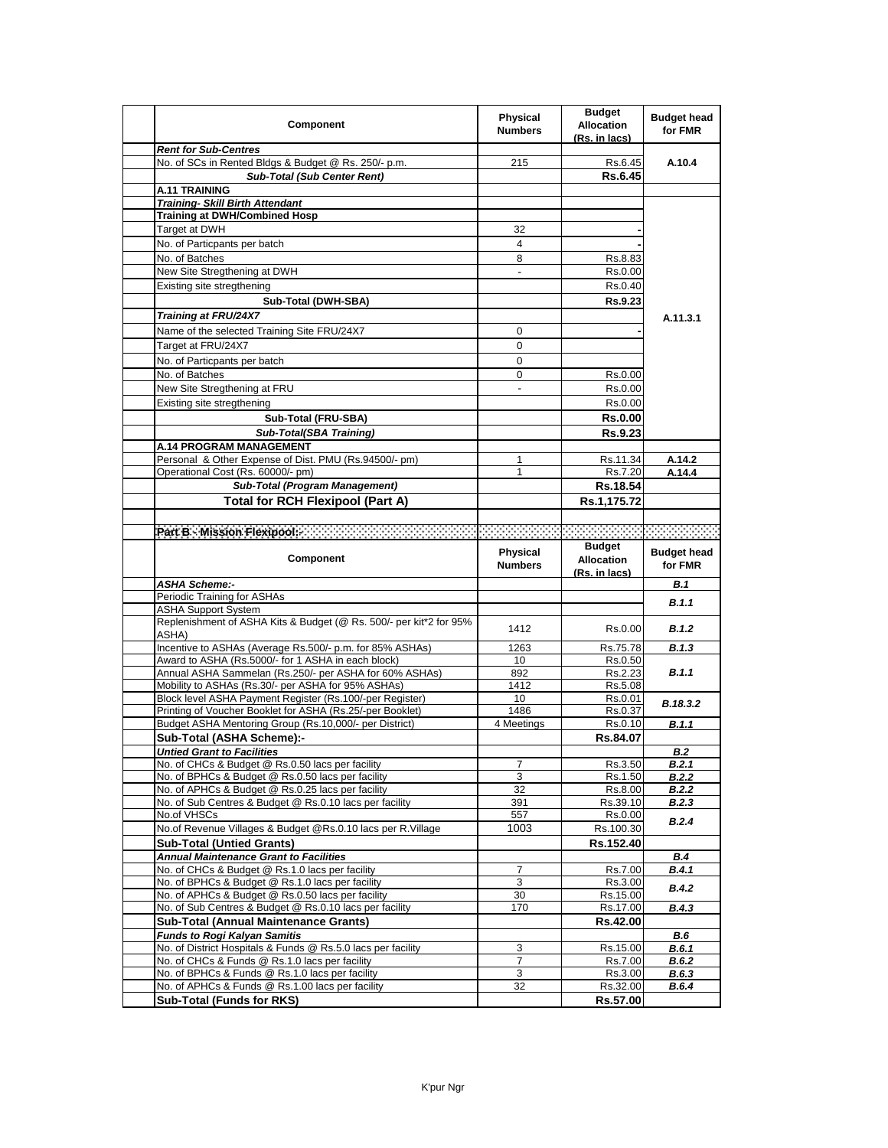| Component                                                                            | <b>Physical</b><br><b>Numbers</b> | <b>Budget</b><br><b>Allocation</b><br>(Rs. in lacs) | <b>Budget head</b><br>for FMR |
|--------------------------------------------------------------------------------------|-----------------------------------|-----------------------------------------------------|-------------------------------|
| <b>Rent for Sub-Centres</b>                                                          |                                   |                                                     |                               |
| No. of SCs in Rented Bldgs & Budget @ Rs. 250/- p.m.                                 | 215                               | Rs.6.45                                             | A.10.4                        |
| <b>Sub-Total (Sub Center Rent)</b>                                                   |                                   | Rs.6.45                                             |                               |
| <b>A.11 TRAINING</b>                                                                 |                                   |                                                     |                               |
| <b>Training- Skill Birth Attendant</b>                                               |                                   |                                                     |                               |
| <b>Training at DWH/Combined Hosp</b>                                                 |                                   |                                                     |                               |
| Target at DWH                                                                        | 32                                |                                                     |                               |
| No. of Particpants per batch                                                         | 4                                 |                                                     |                               |
| No. of Batches                                                                       | 8                                 | Rs.8.83                                             |                               |
| New Site Stregthening at DWH                                                         | $\sim$                            | Rs 0.00                                             |                               |
| Existing site stregthening                                                           |                                   | Rs.0.40                                             |                               |
| Sub-Total (DWH-SBA)                                                                  |                                   | <b>Rs.9.23</b>                                      |                               |
| <b>Training at FRU/24X7</b>                                                          |                                   |                                                     | A.11.3.1                      |
|                                                                                      |                                   |                                                     |                               |
| Name of the selected Training Site FRU/24X7                                          | 0                                 |                                                     |                               |
| Target at FRU/24X7                                                                   | 0                                 |                                                     |                               |
| No. of Particpants per batch                                                         | 0                                 |                                                     |                               |
| No. of Batches                                                                       | 0                                 | Rs 0.00                                             |                               |
| New Site Stregthening at FRU                                                         |                                   | Rs.0.00                                             |                               |
| Existing site stregthening                                                           |                                   | Rs.0.00                                             |                               |
| Sub-Total (FRU-SBA)                                                                  |                                   | Rs.0.00                                             |                               |
| Sub-Total(SBA Training)                                                              |                                   | Rs.9.23                                             |                               |
| <b>A.14 PROGRAM MANAGEMENT</b>                                                       |                                   |                                                     |                               |
| Personal & Other Expense of Dist. PMU (Rs.94500/- pm)                                | 1                                 | Rs.11.34                                            | A.14.2                        |
| Operational Cost (Rs. 60000/- pm)                                                    | 1                                 | Rs.7.20                                             | A.14.4                        |
| <b>Sub-Total (Program Management)</b>                                                |                                   | Rs.18.54                                            |                               |
|                                                                                      |                                   |                                                     |                               |
| <b>Total for RCH Flexipool (Part A)</b>                                              |                                   | Rs.1,175.72                                         |                               |
|                                                                                      |                                   |                                                     |                               |
| Part B - Mission Flexiped - Account Account Account Account Account Account of       |                                   |                                                     | 33333333333                   |
| Component                                                                            | Physical                          | <b>Budget</b><br><b>Allocation</b>                  | <b>Budget head</b>            |
|                                                                                      | <b>Numbers</b>                    |                                                     | for FMR                       |
|                                                                                      |                                   | (Rs. in lacs)                                       |                               |
| <b>ASHA Scheme:-</b>                                                                 |                                   |                                                     | B.1                           |
| Periodic Training for ASHAs                                                          |                                   |                                                     | <b>B.1.1</b>                  |
| <b>ASHA Support System</b>                                                           |                                   |                                                     |                               |
| Replenishment of ASHA Kits & Budget (@ Rs. 500/- per kit*2 for 95%<br>ASHA)          | 1412                              | Rs.0.00                                             | <b>B.1.2</b>                  |
| Incentive to ASHAs (Average Rs.500/- p.m. for 85% ASHAs)                             | 1263                              | Rs.75.78                                            | <b>B.1.3</b>                  |
| Award to ASHA (Rs.5000/- for 1 ASHA in each block)                                   | 10                                | Rs.0.50                                             |                               |
| Annual ASHA Sammelan (Rs.250/- per ASHA for 60% ASHAs)                               | 892                               | Rs.2.23                                             | <b>B.1.1</b>                  |
| Mobility to ASHAs (Rs.30/- per ASHA for 95% ASHAs)                                   | 1412                              | Rs.5.08                                             |                               |
| Block level ASHA Payment Register (Rs.100/-per Register)                             | 10                                | Rs.0.01                                             |                               |
| Printing of Voucher Booklet for ASHA (Rs.25/-per Booklet)                            | 1486                              | Rs.0.37                                             | B.18.3.2                      |
| Budget ASHA Mentoring Group (Rs.10,000/- per District)                               | 4 Meetings                        | Rs.0.10                                             | B.1.1                         |
| Sub-Total (ASHA Scheme):-                                                            |                                   | Rs.84.07                                            |                               |
| <b>Untied Grant to Facilities</b>                                                    |                                   |                                                     | B.2                           |
| No. of CHCs & Budget @ Rs.0.50 lacs per facility                                     | 7                                 | Rs.3.50                                             | B.2.1                         |
| No. of BPHCs & Budget @ Rs.0.50 lacs per facility                                    | 3                                 | Rs.1.50                                             | <b>B.2.2</b>                  |
| No. of APHCs & Budget @ Rs.0.25 lacs per facility                                    | 32                                | Rs.8.00                                             | B.2.2                         |
| No. of Sub Centres & Budget @ Rs.0.10 lacs per facility                              | 391                               | Rs.39.10                                            | B.2.3                         |
| No.of VHSCs                                                                          | 557                               | Rs.0.00                                             |                               |
| No.of Revenue Villages & Budget @Rs.0.10 lacs per R.Village                          | 1003                              | Rs.100.30                                           | <b>B.2.4</b>                  |
| <b>Sub-Total (Untied Grants)</b>                                                     |                                   | Rs.152.40                                           |                               |
| <b>Annual Maintenance Grant to Facilities</b>                                        |                                   |                                                     | <b>B.4</b>                    |
| No. of CHCs & Budget @ Rs.1.0 lacs per facility                                      | 7                                 | Rs.7.00                                             | B.4.1                         |
| No. of BPHCs & Budget @ Rs.1.0 lacs per facility                                     | 3                                 | Rs.3.00                                             |                               |
| No. of APHCs & Budget @ Rs.0.50 lacs per facility                                    | 30                                | Rs.15.00                                            | B.4.2                         |
| No. of Sub Centres & Budget @ Rs.0.10 lacs per facility                              | 170                               | Rs.17.00                                            | <b>B.4.3</b>                  |
| Sub-Total (Annual Maintenance Grants)                                                |                                   | Rs.42.00                                            |                               |
| <b>Funds to Rogi Kalyan Samitis</b>                                                  |                                   |                                                     | B.6                           |
| No. of District Hospitals & Funds @ Rs.5.0 lacs per facility                         | 3                                 | Rs.15.00                                            | B.6.1                         |
| No. of CHCs & Funds @ Rs.1.0 lacs per facility                                       | 7                                 | Rs.7.00                                             | B.6.2                         |
| No. of BPHCs & Funds @ Rs.1.0 lacs per facility                                      | 3                                 | Rs.3.00                                             | B.6.3                         |
| No. of APHCs & Funds @ Rs.1.00 lacs per facility<br><b>Sub-Total (Funds for RKS)</b> | 32                                | Rs.32.00<br>Rs.57.00                                | B.6.4                         |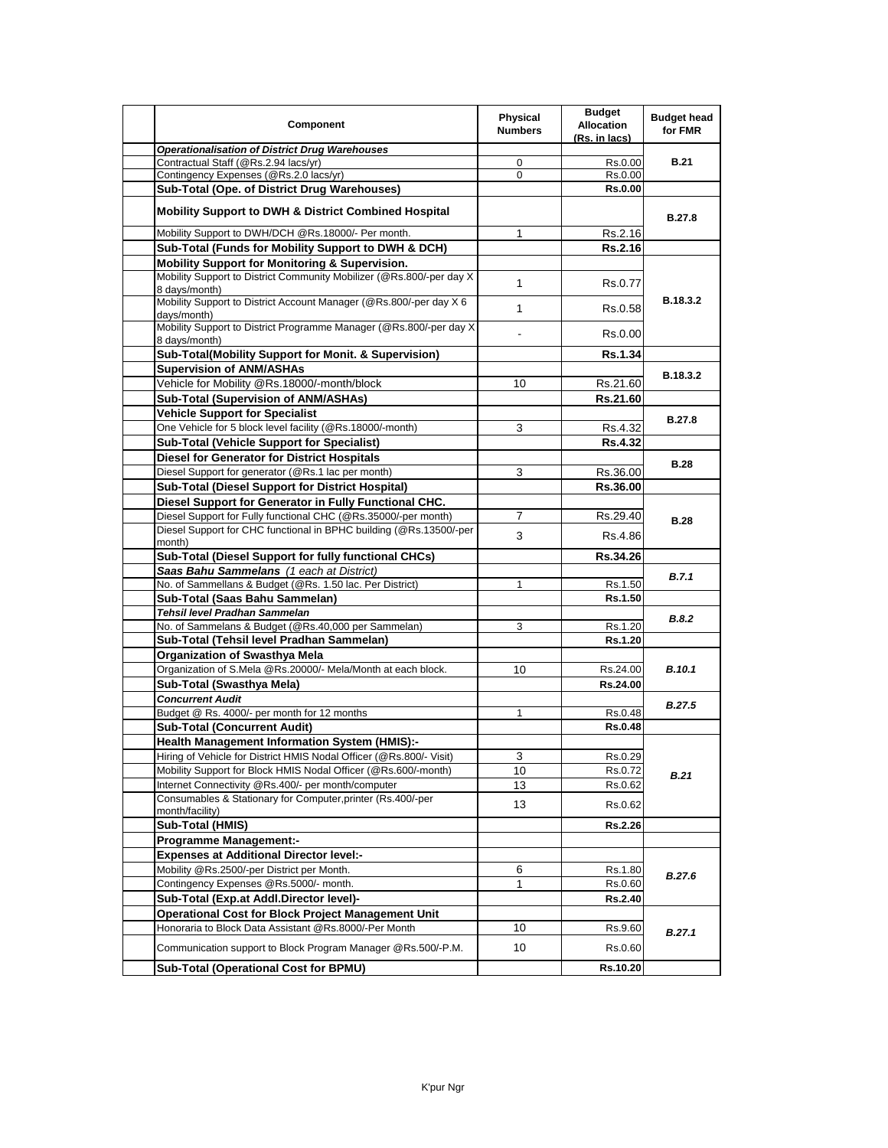| Component                                                                                                                             | Physical<br><b>Numbers</b> | <b>Budget</b><br><b>Allocation</b><br>(Rs. in lacs) | <b>Budget head</b><br>for FMR |
|---------------------------------------------------------------------------------------------------------------------------------------|----------------------------|-----------------------------------------------------|-------------------------------|
| <b>Operationalisation of District Drug Warehouses</b>                                                                                 |                            |                                                     |                               |
| Contractual Staff (@Rs.2.94 lacs/yr)                                                                                                  | 0                          | Rs.0.00                                             | <b>B.21</b>                   |
| Contingency Expenses (@Rs.2.0 lacs/yr)                                                                                                | $\Omega$                   | Rs.0.00                                             |                               |
| Sub-Total (Ope. of District Drug Warehouses)                                                                                          |                            | <b>Rs.0.00</b>                                      |                               |
| <b>Mobility Support to DWH &amp; District Combined Hospital</b>                                                                       |                            |                                                     | <b>B.27.8</b>                 |
| Mobility Support to DWH/DCH @Rs.18000/- Per month.                                                                                    | 1                          | Rs.2.16                                             |                               |
| Sub-Total (Funds for Mobility Support to DWH & DCH)                                                                                   |                            | <b>Rs.2.16</b>                                      |                               |
| <b>Mobility Support for Monitoring &amp; Supervision.</b>                                                                             |                            |                                                     |                               |
| Mobility Support to District Community Mobilizer (@Rs.800/-per day X<br>8 days/month)                                                 | $\mathbf{1}$               | Rs.0.77                                             |                               |
| Mobility Support to District Account Manager (@Rs.800/-per day X 6<br>days/month)                                                     | $\mathbf{1}$               | Rs.0.58                                             | B.18.3.2                      |
| Mobility Support to District Programme Manager (@Rs.800/-per day X)<br>8 days/month)                                                  | $\overline{\phantom{0}}$   | Rs.0.00                                             |                               |
| Sub-Total(Mobility Support for Monit. & Supervision)                                                                                  |                            | <b>Rs.1.34</b>                                      |                               |
| <b>Supervision of ANM/ASHAs</b>                                                                                                       |                            |                                                     |                               |
| Vehicle for Mobility @Rs.18000/-month/block                                                                                           | 10                         | Rs.21.60                                            | B.18.3.2                      |
| <b>Sub-Total (Supervision of ANM/ASHAs)</b>                                                                                           |                            | Rs.21.60                                            |                               |
| <b>Vehicle Support for Specialist</b>                                                                                                 |                            |                                                     |                               |
| One Vehicle for 5 block level facility (@Rs.18000/-month)                                                                             | 3                          | Rs.4.32                                             | <b>B.27.8</b>                 |
| <b>Sub-Total (Vehicle Support for Specialist)</b>                                                                                     |                            |                                                     |                               |
|                                                                                                                                       |                            | <b>Rs.4.32</b>                                      |                               |
| <b>Diesel for Generator for District Hospitals</b>                                                                                    |                            |                                                     | <b>B.28</b>                   |
| Diesel Support for generator (@Rs.1 lac per month)                                                                                    | 3                          | Rs.36.00                                            |                               |
| Sub-Total (Diesel Support for District Hospital)                                                                                      |                            | Rs.36.00                                            |                               |
| Diesel Support for Generator in Fully Functional CHC.                                                                                 |                            |                                                     |                               |
| Diesel Support for Fully functional CHC (@Rs.35000/-per month)                                                                        | $\overline{7}$             | Rs.29.40                                            | <b>B.28</b>                   |
| Diesel Support for CHC functional in BPHC building (@Rs.13500/-per<br>month)                                                          | 3                          | Rs.4.86                                             |                               |
| Sub-Total (Diesel Support for fully functional CHCs)                                                                                  |                            | Rs.34.26                                            |                               |
| Saas Bahu Sammelans (1 each at District)                                                                                              |                            |                                                     | B.7.1                         |
| No. of Sammellans & Budget (@Rs. 1.50 lac. Per District)                                                                              | 1                          | Rs.1.50                                             |                               |
| Sub-Total (Saas Bahu Sammelan)                                                                                                        |                            | Rs.1.50                                             |                               |
| Tehsil level Pradhan Sammelan                                                                                                         |                            |                                                     | <b>B.8.2</b>                  |
| No. of Sammelans & Budget (@Rs.40,000 per Sammelan)                                                                                   | 3                          | Rs.1.20                                             |                               |
| Sub-Total (Tehsil level Pradhan Sammelan)                                                                                             |                            | Rs.1.20                                             |                               |
| <b>Organization of Swasthya Mela</b>                                                                                                  |                            |                                                     |                               |
| Organization of S.Mela @Rs.20000/- Mela/Month at each block.                                                                          | 10                         | Rs.24.00                                            | <b>B.10.1</b>                 |
| Sub-Total (Swasthya Mela)                                                                                                             |                            | Rs.24.00                                            |                               |
| <b>Concurrent Audit</b>                                                                                                               |                            |                                                     |                               |
| Budget @ Rs. 4000/- per month for 12 months                                                                                           | $\mathbf{1}$               | Rs.0.48                                             | B.27.5                        |
| Sub-Total (Concurrent Audit)                                                                                                          |                            | <b>Rs.0.48</b>                                      |                               |
| Health Management Information System (HMIS):-                                                                                         |                            |                                                     |                               |
|                                                                                                                                       |                            |                                                     |                               |
| Hiring of Vehicle for District HMIS Nodal Officer (@Rs.800/- Visit)<br>Mobility Support for Block HMIS Nodal Officer (@Rs.600/-month) | 3<br>10                    | Rs.0.29<br>Rs.0.72                                  |                               |
| Internet Connectivity @Rs.400/- per month/computer                                                                                    |                            |                                                     | <b>B.21</b>                   |
|                                                                                                                                       | 13                         | Rs.0.62                                             |                               |
| Consumables & Stationary for Computer, printer (Rs.400/-per<br>month/facility)                                                        | 13                         | Rs.0.62                                             |                               |
| Sub-Total (HMIS)                                                                                                                      |                            | <b>Rs.2.26</b>                                      |                               |
| <b>Programme Management:-</b>                                                                                                         |                            |                                                     |                               |
| <b>Expenses at Additional Director level:-</b>                                                                                        |                            |                                                     |                               |
| Mobility @Rs.2500/-per District per Month.                                                                                            | 6                          | Rs.1.80                                             | B.27.6                        |
| Contingency Expenses @Rs.5000/- month.                                                                                                | 1                          | Rs.0.60                                             |                               |
| Sub-Total (Exp.at Addl.Director level)-                                                                                               |                            | <b>Rs.2.40</b>                                      |                               |
| <b>Operational Cost for Block Project Management Unit</b>                                                                             |                            |                                                     |                               |
| Honoraria to Block Data Assistant @Rs.8000/-Per Month                                                                                 | 10                         | Rs.9.60                                             |                               |
|                                                                                                                                       |                            |                                                     | B.27.1                        |
| Communication support to Block Program Manager @Rs.500/-P.M.<br>Sub-Total (Operational Cost for BPMU)                                 | 10                         | Rs.0.60<br>Rs.10.20                                 |                               |
|                                                                                                                                       |                            |                                                     |                               |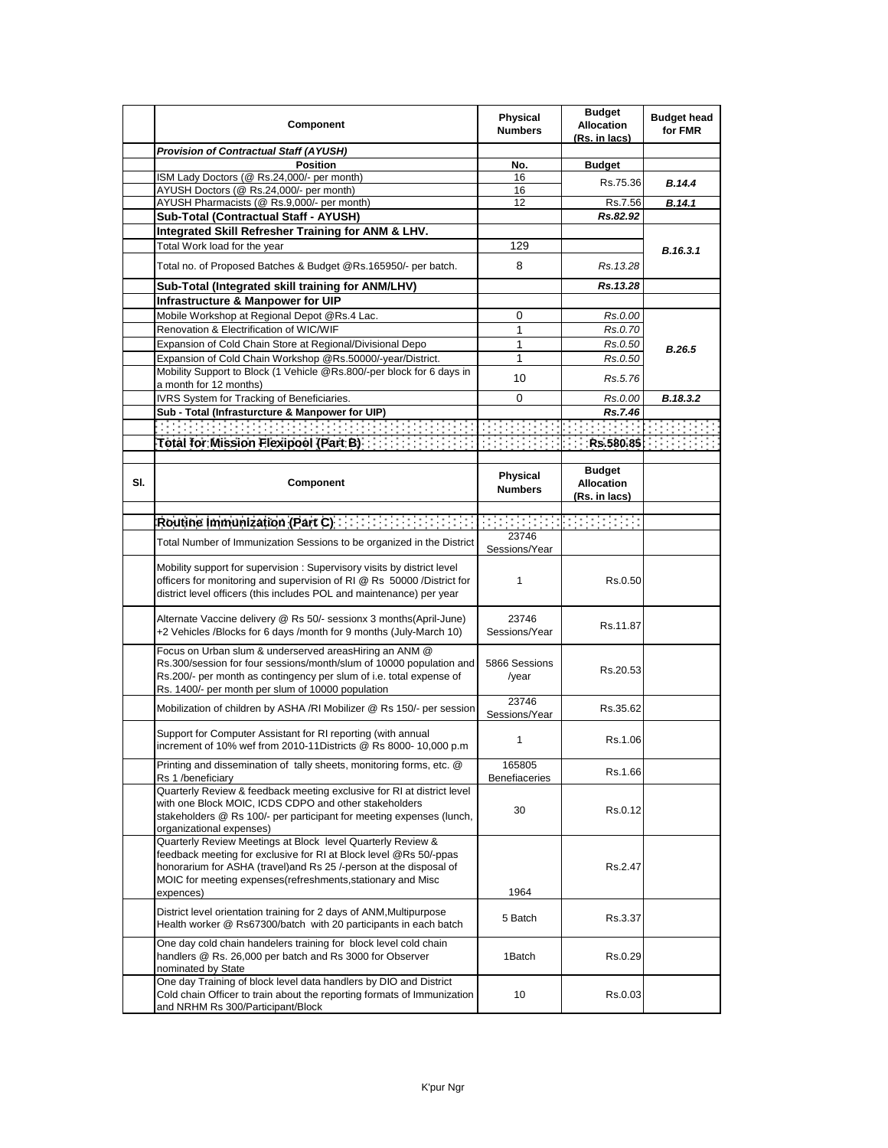|     | Component                                                                                                                                                                                                                                                                                                                                                                                         | <b>Physical</b><br><b>Numbers</b> | <b>Budget</b><br><b>Allocation</b><br>(Rs. in lacs)        | <b>Budget head</b><br>for FMR |
|-----|---------------------------------------------------------------------------------------------------------------------------------------------------------------------------------------------------------------------------------------------------------------------------------------------------------------------------------------------------------------------------------------------------|-----------------------------------|------------------------------------------------------------|-------------------------------|
|     | <b>Provision of Contractual Staff (AYUSH)</b>                                                                                                                                                                                                                                                                                                                                                     |                                   |                                                            |                               |
|     | <b>Position</b>                                                                                                                                                                                                                                                                                                                                                                                   | No.                               | <b>Budget</b>                                              |                               |
|     | ISM Lady Doctors (@ Rs.24,000/- per month)                                                                                                                                                                                                                                                                                                                                                        | 16                                | Rs.75.36                                                   | <b>B.14.4</b>                 |
|     | AYUSH Doctors (@ Rs.24,000/- per month)                                                                                                                                                                                                                                                                                                                                                           | 16                                |                                                            |                               |
|     | AYUSH Pharmacists (@ Rs.9,000/- per month)                                                                                                                                                                                                                                                                                                                                                        | 12                                | Rs.7.56                                                    | B.14.1                        |
|     | Sub-Total (Contractual Staff - AYUSH)                                                                                                                                                                                                                                                                                                                                                             |                                   | Rs.82.92                                                   |                               |
|     | Integrated Skill Refresher Training for ANM & LHV.                                                                                                                                                                                                                                                                                                                                                |                                   |                                                            |                               |
|     | Total Work load for the year                                                                                                                                                                                                                                                                                                                                                                      | 129                               |                                                            |                               |
|     | Total no. of Proposed Batches & Budget @Rs.165950/- per batch.                                                                                                                                                                                                                                                                                                                                    | 8                                 | Rs. 13.28                                                  | B.16.3.1                      |
|     | Sub-Total (Integrated skill training for ANM/LHV)                                                                                                                                                                                                                                                                                                                                                 |                                   | Rs.13.28                                                   |                               |
|     | Infrastructure & Manpower for UIP                                                                                                                                                                                                                                                                                                                                                                 |                                   |                                                            |                               |
|     | Mobile Workshop at Regional Depot @Rs.4 Lac.                                                                                                                                                                                                                                                                                                                                                      | 0                                 | Rs.0.00                                                    |                               |
|     | Renovation & Electrification of WIC/WIF                                                                                                                                                                                                                                                                                                                                                           | 1                                 |                                                            |                               |
|     |                                                                                                                                                                                                                                                                                                                                                                                                   |                                   | Rs.0.70                                                    |                               |
|     | Expansion of Cold Chain Store at Regional/Divisional Depo                                                                                                                                                                                                                                                                                                                                         | 1                                 | Rs.0.50                                                    | <b>B.26.5</b>                 |
|     | Expansion of Cold Chain Workshop @Rs.50000/-year/District.                                                                                                                                                                                                                                                                                                                                        | 1                                 | Rs.0.50                                                    |                               |
|     | Mobility Support to Block (1 Vehicle @Rs.800/-per block for 6 days in<br>a month for 12 months)                                                                                                                                                                                                                                                                                                   | 10                                | Rs.5.76                                                    |                               |
|     | IVRS System for Tracking of Beneficiaries.                                                                                                                                                                                                                                                                                                                                                        | 0                                 | Rs.0.00                                                    | B.18.3.2                      |
|     | Sub - Total (Infrasturcture & Manpower for UIP)                                                                                                                                                                                                                                                                                                                                                   |                                   | Rs.7.46                                                    |                               |
|     | 计开关开关开关 计开关开关开关                                                                                                                                                                                                                                                                                                                                                                                   |                                   |                                                            | <b>Contract Contract</b>      |
|     |                                                                                                                                                                                                                                                                                                                                                                                                   |                                   |                                                            |                               |
|     |                                                                                                                                                                                                                                                                                                                                                                                                   |                                   |                                                            |                               |
| SI. | Component                                                                                                                                                                                                                                                                                                                                                                                         | Physical<br><b>Numbers</b>        | <b>Budget</b><br><b>Allocation</b><br><u>(Rs. in lacs)</u> |                               |
|     | Routine Immunization (Part C) $\left\{ \frac{1}{2}, \frac{1}{2}, \frac{1}{2}, \frac{1}{2}, \frac{1}{2}, \frac{1}{2}, \frac{1}{2}, \frac{1}{2}, \frac{1}{2}, \frac{1}{2}, \frac{1}{2}, \frac{1}{2}, \frac{1}{2}, \frac{1}{2}, \frac{1}{2}, \frac{1}{2}, \frac{1}{2}, \frac{1}{2}, \frac{1}{2}, \frac{1}{2}, \frac{1}{2}, \frac{1}{2}, \frac{1}{2}, \frac{1}{2}, \frac{1}{2}, \frac{1}{2}, \frac{1$ |                                   |                                                            |                               |
|     |                                                                                                                                                                                                                                                                                                                                                                                                   | 23746                             |                                                            |                               |
|     | Total Number of Immunization Sessions to be organized in the District                                                                                                                                                                                                                                                                                                                             | Sessions/Year                     |                                                            |                               |
|     | Mobility support for supervision: Supervisory visits by district level<br>officers for monitoring and supervision of RI @ Rs 50000 /District for<br>district level officers (this includes POL and maintenance) per year                                                                                                                                                                          | $\mathbf{1}$                      | Rs.0.50                                                    |                               |
|     | Alternate Vaccine delivery @ Rs 50/- sessionx 3 months(April-June)<br>+2 Vehicles /Blocks for 6 days /month for 9 months (July-March 10)                                                                                                                                                                                                                                                          | 23746<br>Sessions/Year            | Rs.11.87                                                   |                               |
|     | Focus on Urban slum & underserved areasHiring an ANM @<br>Rs.300/session for four sessions/month/slum of 10000 population and<br>Rs.200/- per month as contingency per slum of i.e. total expense of<br>Rs. 1400/- per month per slum of 10000 population                                                                                                                                         | 5866 Sessions<br>/year            | Rs.20.53                                                   |                               |
|     | Mobilization of children by ASHA /RI Mobilizer @ Rs 150/- per session                                                                                                                                                                                                                                                                                                                             | 23746<br>Sessions/Year            | Rs.35.62                                                   |                               |
|     | Support for Computer Assistant for RI reporting (with annual<br>increment of 10% wef from 2010-11Districts @ Rs 8000- 10,000 p.m                                                                                                                                                                                                                                                                  | $\mathbf{1}$                      | Rs.1.06                                                    |                               |
|     | Printing and dissemination of tally sheets, monitoring forms, etc. @<br>Rs 1 /beneficiary                                                                                                                                                                                                                                                                                                         | 165805<br><b>Benefiaceries</b>    | Rs.1.66                                                    |                               |
|     | Quarterly Review & feedback meeting exclusive for RI at district level<br>with one Block MOIC, ICDS CDPO and other stakeholders<br>stakeholders @ Rs 100/- per participant for meeting expenses (lunch,<br>organizational expenses)                                                                                                                                                               | 30                                | Rs 0.12                                                    |                               |
|     | Quarterly Review Meetings at Block level Quarterly Review &<br>feedback meeting for exclusive for RI at Block level @Rs 50/-ppas<br>honorarium for ASHA (travel) and Rs 25 /-person at the disposal of<br>MOIC for meeting expenses (refreshments, stationary and Misc<br>expences)                                                                                                               | 1964                              | Rs.2.47                                                    |                               |
|     | District level orientation training for 2 days of ANM, Multipurpose<br>Health worker @ Rs67300/batch with 20 participants in each batch                                                                                                                                                                                                                                                           | 5 Batch                           | Rs.3.37                                                    |                               |
|     | One day cold chain handelers training for block level cold chain<br>handlers @ Rs. 26,000 per batch and Rs 3000 for Observer<br>nominated by State                                                                                                                                                                                                                                                | 1Batch                            | Rs.0.29                                                    |                               |
|     | One day Training of block level data handlers by DIO and District<br>Cold chain Officer to train about the reporting formats of Immunization<br>and NRHM Rs 300/Participant/Block                                                                                                                                                                                                                 | 10                                | Rs.0.03                                                    |                               |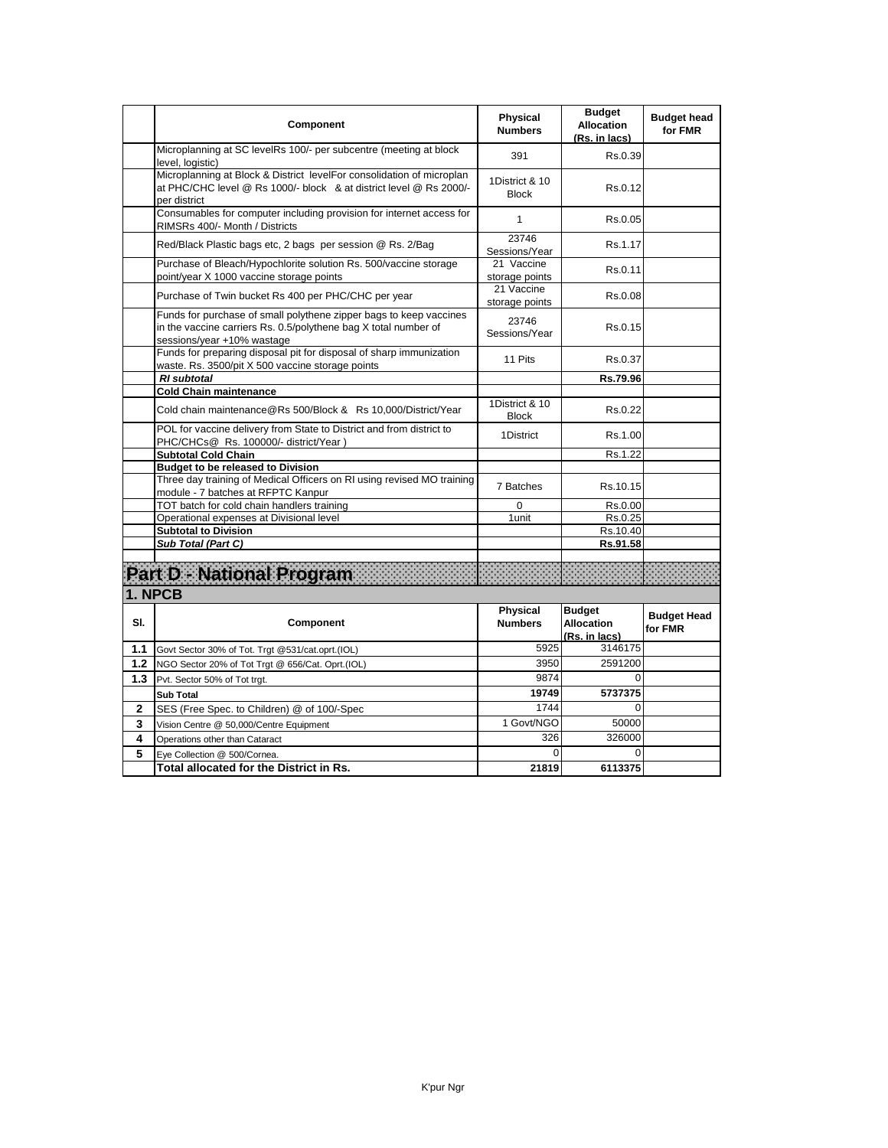|     | Component                                                                                                                                                           | <b>Physical</b><br><b>Numbers</b> | <b>Budget</b><br><b>Allocation</b><br>(Rs. in lacs) | <b>Budget head</b><br>for FMR |
|-----|---------------------------------------------------------------------------------------------------------------------------------------------------------------------|-----------------------------------|-----------------------------------------------------|-------------------------------|
|     | Microplanning at SC levelRs 100/- per subcentre (meeting at block<br>level, logistic)                                                                               | 391                               | Rs.0.39                                             |                               |
|     | Microplanning at Block & District levelFor consolidation of microplan<br>at PHC/CHC level @ Rs 1000/- block & at district level @ Rs 2000/-<br>per district         | 1District & 10<br><b>Block</b>    | Rs.0.12                                             |                               |
|     | Consumables for computer including provision for internet access for<br>RIMSRs 400/- Month / Districts                                                              | $\mathbf{1}$                      | Rs.0.05                                             |                               |
|     | Red/Black Plastic bags etc, 2 bags per session @ Rs. 2/Bag                                                                                                          | 23746<br>Sessions/Year            | Rs.1.17                                             |                               |
|     | Purchase of Bleach/Hypochlorite solution Rs. 500/vaccine storage<br>point/year X 1000 vaccine storage points                                                        | 21 Vaccine<br>storage points      | Rs.0.11                                             |                               |
|     | Purchase of Twin bucket Rs 400 per PHC/CHC per year                                                                                                                 | 21 Vaccine<br>storage points      | Rs.0.08                                             |                               |
|     | Funds for purchase of small polythene zipper bags to keep vaccines<br>in the vaccine carriers Rs. 0.5/polythene bag X total number of<br>sessions/year +10% wastage | 23746<br>Sessions/Year            | Rs 0.15                                             |                               |
|     | Funds for preparing disposal pit for disposal of sharp immunization<br>waste. Rs. 3500/pit X 500 vaccine storage points                                             | 11 Pits                           | Rs.0.37                                             |                               |
|     | <b>RI</b> subtotal                                                                                                                                                  |                                   | Rs.79.96                                            |                               |
|     | <b>Cold Chain maintenance</b>                                                                                                                                       |                                   |                                                     |                               |
|     | Cold chain maintenance@Rs 500/Block & Rs 10,000/District/Year                                                                                                       | 1District & 10<br><b>Block</b>    | Rs.0.22                                             |                               |
|     | POL for vaccine delivery from State to District and from district to<br>PHC/CHCs@ Rs. 100000/- district/Year)                                                       | 1District                         | Rs.1.00                                             |                               |
|     | <b>Subtotal Cold Chain</b>                                                                                                                                          |                                   | Rs.1.22                                             |                               |
|     | <b>Budget to be released to Division</b>                                                                                                                            |                                   |                                                     |                               |
|     | Three day training of Medical Officers on RI using revised MO training<br>module - 7 batches at RFPTC Kanpur                                                        | 7 Batches                         | Rs.10.15                                            |                               |
|     | TOT batch for cold chain handlers training                                                                                                                          | 0                                 | Rs.0.00                                             |                               |
|     | Operational expenses at Divisional level                                                                                                                            | 1unit                             | Rs.0.25                                             |                               |
|     | <b>Subtotal to Division</b>                                                                                                                                         |                                   | Rs.10.40                                            |                               |
|     | Sub Total (Part C)                                                                                                                                                  |                                   | Rs.91.58                                            |                               |
|     | Part D - National Program<br>1. NPCB                                                                                                                                |                                   |                                                     |                               |
| SI. | Component                                                                                                                                                           | <b>Physical</b><br><b>Numbers</b> | <b>Budget</b><br><b>Allocation</b><br>(Rs. in lacs) | <b>Budget Head</b><br>for FMR |
| 1.1 | Govt Sector 30% of Tot. Trgt @531/cat.oprt.(IOL)                                                                                                                    | 5925                              | 3146175                                             |                               |
| 1.2 | NGO Sector 20% of Tot Trgt @ 656/Cat. Oprt.(IOL)                                                                                                                    | 3950                              | 2591200                                             |                               |
| 1.3 | Pvt. Sector 50% of Tot trgt.                                                                                                                                        | 9874                              | $\Omega$                                            |                               |
|     | <b>Sub Total</b>                                                                                                                                                    | 19749                             | 5737375                                             |                               |
| 2   | SES (Free Spec. to Children) @ of 100/-Spec                                                                                                                         | 1744                              | $\Omega$                                            |                               |
| 3   | Vision Centre @ 50,000/Centre Equipment                                                                                                                             | 1 Govt/NGO                        | 50000                                               |                               |
| 4   |                                                                                                                                                                     | 326                               | 326000                                              |                               |
| 5   | Operations other than Cataract                                                                                                                                      | 0                                 | 0                                                   |                               |
|     | Eye Collection @ 500/Cornea.<br>Total allocated for the District in Rs.                                                                                             | 21819                             | 6113375                                             |                               |
|     |                                                                                                                                                                     |                                   |                                                     |                               |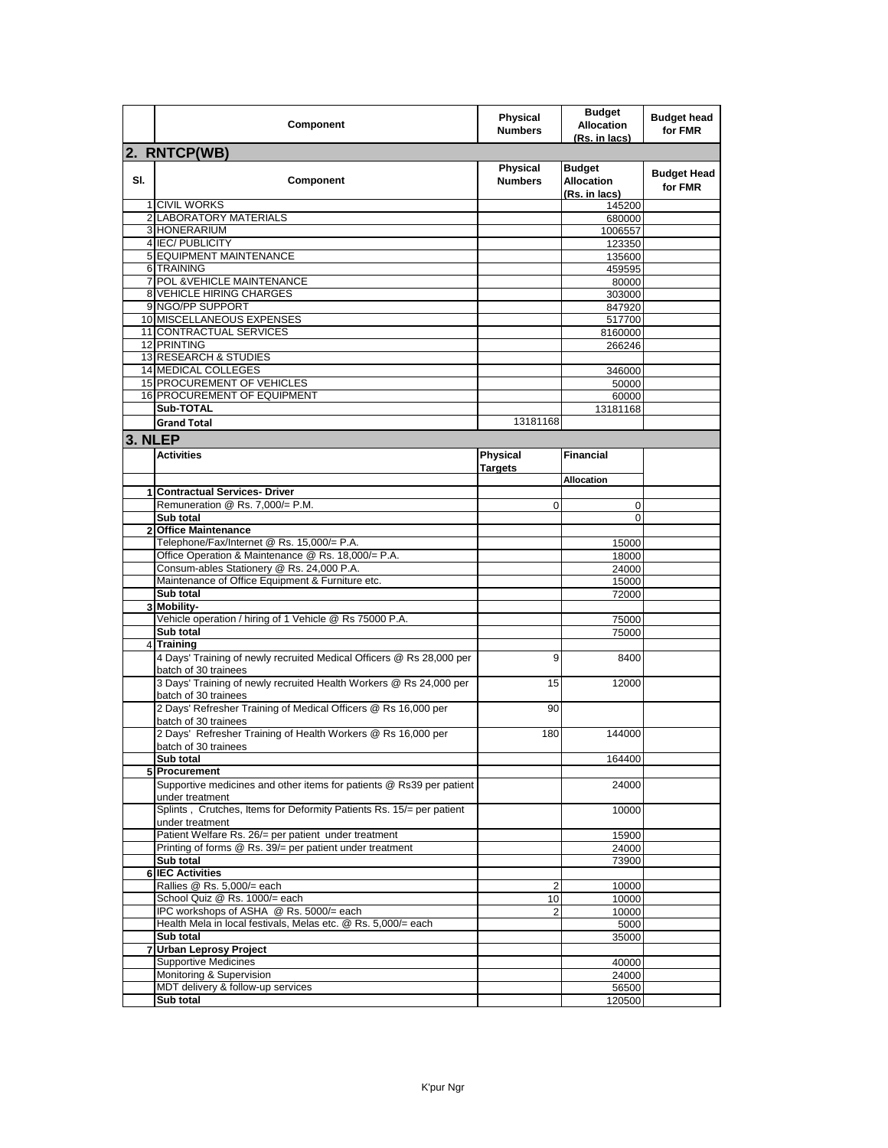|         | Component                                                                                    | <b>Physical</b><br><b>Numbers</b> | <b>Budget</b><br><b>Allocation</b><br>(Rs. in lacs) | <b>Budget head</b><br>for FMR |
|---------|----------------------------------------------------------------------------------------------|-----------------------------------|-----------------------------------------------------|-------------------------------|
|         | 2. RNTCP(WB)                                                                                 |                                   |                                                     |                               |
| SI.     | Component                                                                                    | Physical<br><b>Numbers</b>        | <b>Budget</b><br>Allocation<br>(Rs. in lacs)        | <b>Budget Head</b><br>for FMR |
|         | 1 CIVIL WORKS                                                                                |                                   | 145200                                              |                               |
|         | 2 LABORATORY MATERIALS                                                                       |                                   | 680000                                              |                               |
|         | 3 HONERARIUM<br>4 IEC/PUBLICITY                                                              |                                   | 1006557                                             |                               |
|         | <b>5 EQUIPMENT MAINTENANCE</b>                                                               |                                   | 123350<br>135600                                    |                               |
|         | 6 TRAINING                                                                                   |                                   | 459595                                              |                               |
|         | 7 POL & VEHICLE MAINTENANCE                                                                  |                                   | 80000                                               |                               |
|         | 8 VEHICLE HIRING CHARGES                                                                     |                                   | 303000                                              |                               |
|         | 9 NGO/PP SUPPORT                                                                             |                                   | 847920                                              |                               |
|         | 10 MISCELLANEOUS EXPENSES                                                                    |                                   | 517700                                              |                               |
|         | 11 CONTRACTUAL SERVICES                                                                      |                                   | 8160000                                             |                               |
|         | 12 PRINTING                                                                                  |                                   | 266246                                              |                               |
|         | <b>13 RESEARCH &amp; STUDIES</b>                                                             |                                   |                                                     |                               |
|         | <b>14 MEDICAL COLLEGES</b>                                                                   |                                   | 346000                                              |                               |
|         | 15 PROCUREMENT OF VEHICLES<br>16 PROCUREMENT OF EQUIPMENT                                    |                                   | 50000<br>60000                                      |                               |
|         | Sub-TOTAL                                                                                    |                                   | 13181168                                            |                               |
|         | <b>Grand Total</b>                                                                           | 13181168                          |                                                     |                               |
|         |                                                                                              |                                   |                                                     |                               |
| 3. NLEP |                                                                                              |                                   |                                                     |                               |
|         | <b>Activities</b>                                                                            | Physical                          | <b>Financial</b>                                    |                               |
|         |                                                                                              | Targets                           | Allocation                                          |                               |
|         | 1 Contractual Services- Driver                                                               |                                   |                                                     |                               |
|         | Remuneration @ Rs. 7,000/= P.M.                                                              | $\mathbf 0$                       | 0                                                   |                               |
|         | Sub total                                                                                    |                                   | $\Omega$                                            |                               |
|         | 2 Office Maintenance                                                                         |                                   |                                                     |                               |
|         | Telephone/Fax/Internet @ Rs. 15,000/= P.A.                                                   |                                   | 15000                                               |                               |
|         | Office Operation & Maintenance @ Rs. 18,000/= P.A.                                           |                                   | 18000                                               |                               |
|         | Consum-ables Stationery @ Rs. 24,000 P.A.                                                    |                                   | 24000                                               |                               |
|         | Maintenance of Office Equipment & Furniture etc.                                             |                                   | 15000                                               |                               |
|         | Sub total<br>3 Mobility-                                                                     |                                   | 72000                                               |                               |
|         | Vehicle operation / hiring of 1 Vehicle @ Rs 75000 P.A.                                      |                                   | 75000                                               |                               |
|         | Sub total                                                                                    |                                   | 75000                                               |                               |
|         | 4 Training                                                                                   |                                   |                                                     |                               |
|         | 4 Days' Training of newly recruited Medical Officers @ Rs 28,000 per<br>batch of 30 trainees | 9                                 | 8400                                                |                               |
|         | 3 Days' Training of newly recruited Health Workers @ Rs 24,000 per<br>batch of 30 trainees   | 15                                | 12000                                               |                               |
|         | 2 Days' Refresher Training of Medical Officers @ Rs 16,000 per<br>batch of 30 trainees       | 90                                |                                                     |                               |
|         | 2 Days' Refresher Training of Health Workers @ Rs 16,000 per<br>batch of 30 trainees         | 180                               | 144000                                              |                               |
|         | Sub total                                                                                    |                                   | 164400                                              |                               |
|         | 5 Procurement<br>Supportive medicines and other items for patients @ Rs39 per patient        |                                   | 24000                                               |                               |
|         | under treatment                                                                              |                                   |                                                     |                               |
|         | Splints, Crutches, Items for Deformity Patients Rs. 15/= per patient<br>under treatment      |                                   | 10000                                               |                               |
|         | Patient Welfare Rs. 26/= per patient under treatment                                         |                                   | 15900                                               |                               |
|         | Printing of forms @ Rs. 39/= per patient under treatment                                     |                                   | 24000                                               |                               |
|         | Sub total                                                                                    |                                   | 73900                                               |                               |
|         | 6 IEC Activities                                                                             |                                   |                                                     |                               |
|         | Rallies @ Rs. 5,000/= each                                                                   | 2                                 | 10000                                               |                               |
|         | School Quiz @ Rs. 1000/= each                                                                | 10                                | 10000                                               |                               |
|         | IPC workshops of ASHA @ Rs. 5000/= each                                                      | 2                                 | 10000                                               |                               |
|         | Health Mela in local festivals, Melas etc. @ Rs. 5,000/= each<br>Sub total                   |                                   | 5000                                                |                               |
|         | <b>Urban Leprosy Project</b>                                                                 |                                   | 35000                                               |                               |
|         | <b>Supportive Medicines</b>                                                                  |                                   | 40000                                               |                               |
|         | Monitoring & Supervision                                                                     |                                   | 24000                                               |                               |
|         | MDT delivery & follow-up services                                                            |                                   | 56500                                               |                               |
|         | Sub total                                                                                    |                                   | 120500                                              |                               |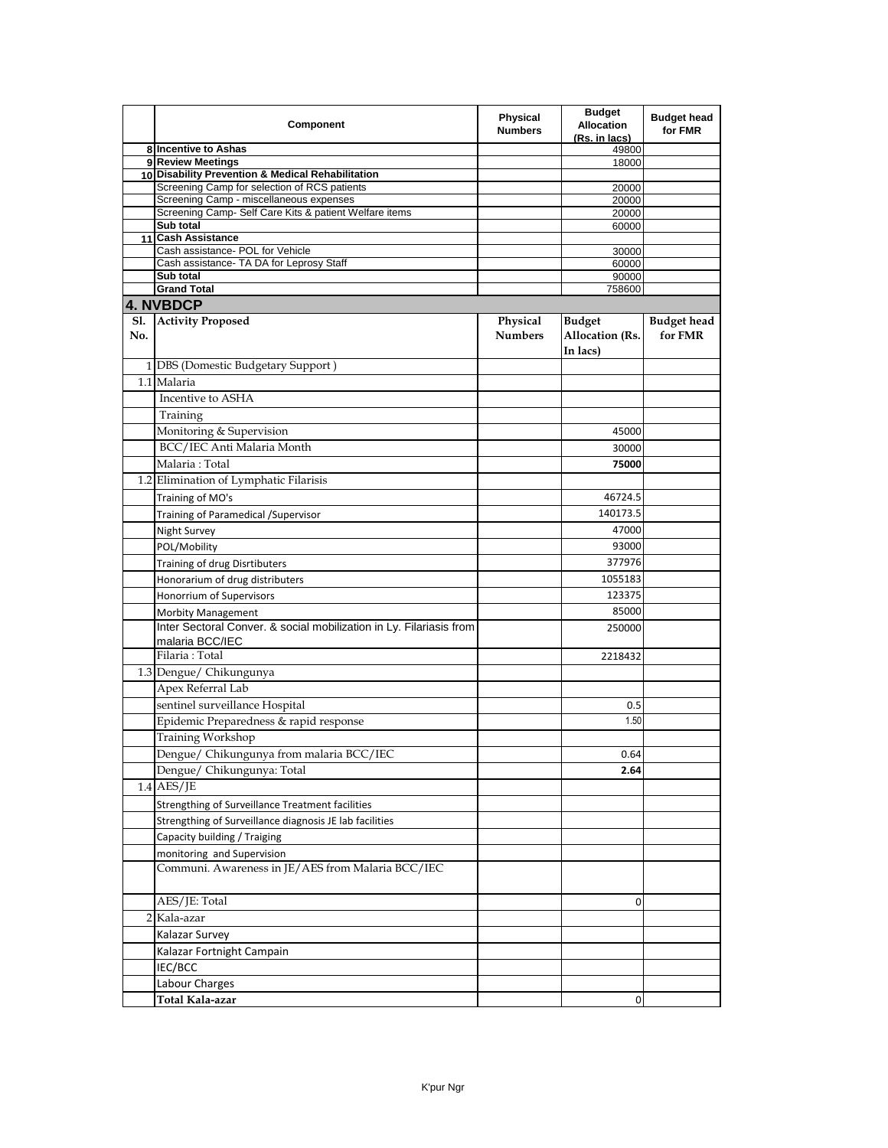|     | Component                                                                                         | <b>Physical</b><br><b>Numbers</b> | <b>Budget</b><br><b>Allocation</b><br><u>(Rs. in lacs)</u> | <b>Budget head</b><br>for FMR |
|-----|---------------------------------------------------------------------------------------------------|-----------------------------------|------------------------------------------------------------|-------------------------------|
|     | 8 Incentive to Ashas                                                                              |                                   | 49800                                                      |                               |
|     | 9 Review Meetings                                                                                 |                                   | 18000                                                      |                               |
|     | 10 Disability Prevention & Medical Rehabilitation<br>Screening Camp for selection of RCS patients |                                   | 20000                                                      |                               |
|     | Screening Camp - miscellaneous expenses                                                           |                                   | 20000                                                      |                               |
|     | Screening Camp- Self Care Kits & patient Welfare items                                            |                                   | 20000                                                      |                               |
|     | Sub total                                                                                         |                                   | 60000                                                      |                               |
|     | 11 Cash Assistance                                                                                |                                   |                                                            |                               |
|     | Cash assistance- POL for Vehicle<br>Cash assistance- TA DA for Leprosy Staff                      |                                   | 30000                                                      |                               |
|     | Sub total                                                                                         |                                   | 60000<br>90000                                             |                               |
|     | <b>Grand Total</b>                                                                                |                                   | 758600                                                     |                               |
|     | 4. NVBDCP                                                                                         |                                   |                                                            |                               |
| S1. | <b>Activity Proposed</b>                                                                          | Physical                          | <b>Budget</b>                                              | <b>Budget head</b>            |
| No. |                                                                                                   | <b>Numbers</b>                    | Allocation (Rs.<br>In lacs)                                | for FMR                       |
|     | 1 DBS (Domestic Budgetary Support)                                                                |                                   |                                                            |                               |
|     |                                                                                                   |                                   |                                                            |                               |
|     | 1.1 Malaria                                                                                       |                                   |                                                            |                               |
|     | Incentive to ASHA                                                                                 |                                   |                                                            |                               |
|     | Training                                                                                          |                                   |                                                            |                               |
|     | Monitoring & Supervision                                                                          |                                   | 45000                                                      |                               |
|     | BCC/IEC Anti Malaria Month                                                                        |                                   | 30000                                                      |                               |
|     | Malaria: Total                                                                                    |                                   | 75000                                                      |                               |
|     | 1.2 Elimination of Lymphatic Filarisis                                                            |                                   |                                                            |                               |
|     | Training of MO's                                                                                  |                                   | 46724.5                                                    |                               |
|     | Training of Paramedical /Supervisor                                                               |                                   | 140173.5                                                   |                               |
|     | Night Survey                                                                                      |                                   | 47000                                                      |                               |
|     | POL/Mobility                                                                                      |                                   | 93000                                                      |                               |
|     |                                                                                                   |                                   | 377976                                                     |                               |
|     | Training of drug Disrtibuters                                                                     |                                   |                                                            |                               |
|     | Honorarium of drug distributers                                                                   |                                   | 1055183                                                    |                               |
|     | Honorrium of Supervisors                                                                          |                                   | 123375                                                     |                               |
|     | <b>Morbity Management</b>                                                                         |                                   | 85000                                                      |                               |
|     | Inter Sectoral Conver. & social mobilization in Ly. Filariasis from<br>malaria BCC/IEC            |                                   | 250000                                                     |                               |
|     | Filaria: Total                                                                                    |                                   | 2218432                                                    |                               |
|     | 1.3 Dengue/ Chikungunya                                                                           |                                   |                                                            |                               |
|     | Apex Referral Lab                                                                                 |                                   |                                                            |                               |
|     | sentinel surveillance Hospital                                                                    |                                   | 0.5                                                        |                               |
|     | Epidemic Preparedness & rapid response                                                            |                                   | 1.50                                                       |                               |
|     | Training Workshop                                                                                 |                                   |                                                            |                               |
|     | Dengue/ Chikungunya from malaria BCC/IEC                                                          |                                   | 0.64                                                       |                               |
|     | Dengue/ Chikungunya: Total                                                                        |                                   | 2.64                                                       |                               |
|     | $1.4$ AES/JE                                                                                      |                                   |                                                            |                               |
|     |                                                                                                   |                                   |                                                            |                               |
|     | Strengthing of Surveillance Treatment facilities                                                  |                                   |                                                            |                               |
|     | Strengthing of Surveillance diagnosis JE lab facilities                                           |                                   |                                                            |                               |
|     | Capacity building / Traiging                                                                      |                                   |                                                            |                               |
|     | monitoring and Supervision                                                                        |                                   |                                                            |                               |
|     | Communi. Awareness in JE/AES from Malaria BCC/IEC                                                 |                                   |                                                            |                               |
|     | AES/JE: Total                                                                                     |                                   | 0                                                          |                               |
|     | 2 Kala-azar                                                                                       |                                   |                                                            |                               |
|     | Kalazar Survey                                                                                    |                                   |                                                            |                               |
|     | Kalazar Fortnight Campain                                                                         |                                   |                                                            |                               |
|     |                                                                                                   |                                   |                                                            |                               |
|     | IEC/BCC                                                                                           |                                   |                                                            |                               |
|     | Labour Charges                                                                                    |                                   |                                                            |                               |
|     | Total Kala-azar                                                                                   |                                   | 0                                                          |                               |